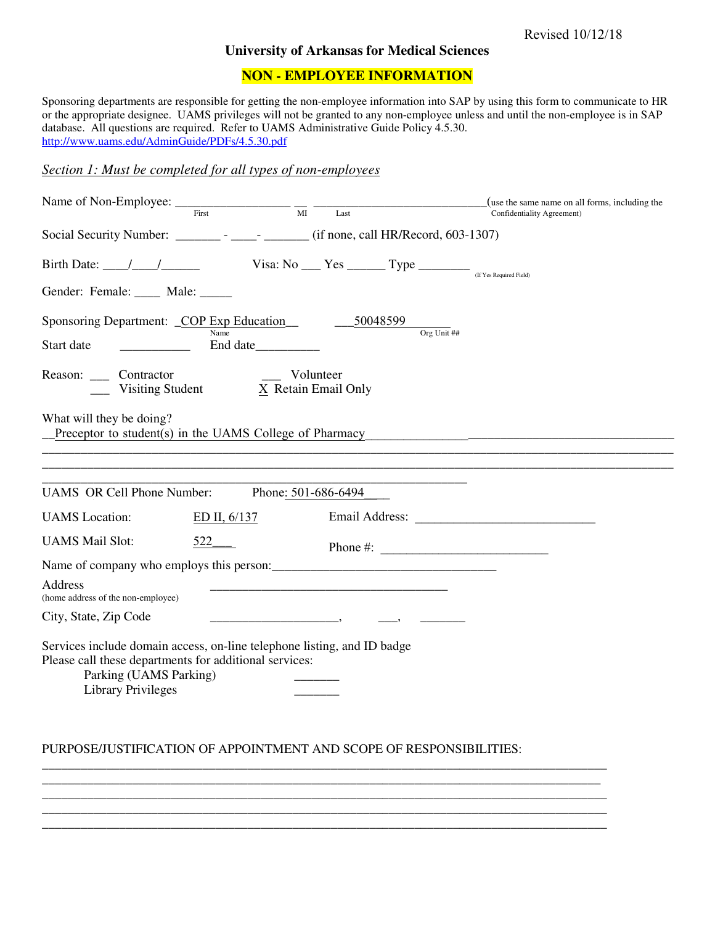## **University of Arkansas for Medical Sciences**

## **NON - EMPLOYEE INFORMATION**

Sponsoring departments are responsible for getting the non-employee information into SAP by using this form to communicate to HR or the appropriate designee. UAMS privileges will not be granted to any non-employee unless and until the non-employee is in SAP database. All questions are required. Refer to UAMS Administrative Guide Policy 4.5.30. <http://www.uams.edu/AdminGuide/PDFs/4.5.30.pdf>

## *Section 1: Must be completed for all types of non-employees*

| $\overline{M}$<br>First<br>Last                                                                                                                                                                                                                                                                                                                                                                                                                             | (use the same name on all forms, including the<br>Confidentiality Agreement) |
|-------------------------------------------------------------------------------------------------------------------------------------------------------------------------------------------------------------------------------------------------------------------------------------------------------------------------------------------------------------------------------------------------------------------------------------------------------------|------------------------------------------------------------------------------|
| Social Security Number: ________ - ______ - ______ (if none, call HR/Record, 603-1307)                                                                                                                                                                                                                                                                                                                                                                      |                                                                              |
| Birth Date: $\frac{1}{\sqrt{1-\frac{1}{\sqrt{1-\frac{1}{\sqrt{1-\frac{1}{\sqrt{1-\frac{1}{\sqrt{1-\frac{1}{\sqrt{1-\frac{1}{\sqrt{1-\frac{1}{\sqrt{1-\frac{1}{\sqrt{1-\frac{1}{\sqrt{1-\frac{1}{\sqrt{1-\frac{1}{\sqrt{1-\frac{1}{\sqrt{1-\frac{1}{\sqrt{1-\frac{1}{\sqrt{1-\frac{1}{\sqrt{1-\frac{1}{\sqrt{1-\frac{1}{\sqrt{1-\frac{1}{\sqrt{1-\frac{1}{\sqrt{1-\frac{1}{\sqrt{1-\frac{1}{\sqrt{1-\frac{1}{\sqrt{1-\$<br>Gender: Female: _____ Male: _____ |                                                                              |
| Sponsoring Department: _COP Exp Education_<br>$-50048599$<br>Org Unit ##<br>Name<br>Start date<br>End date                                                                                                                                                                                                                                                                                                                                                  |                                                                              |
| Reason: Contractor<br>Volunteer<br>$X$ Retain Email Only<br>Visiting Student                                                                                                                                                                                                                                                                                                                                                                                |                                                                              |
| What will they be doing?<br>Preceptor to student(s) in the UAMS College of Pharmacy                                                                                                                                                                                                                                                                                                                                                                         |                                                                              |
|                                                                                                                                                                                                                                                                                                                                                                                                                                                             |                                                                              |
| <b>UAMS OR Cell Phone Number:</b><br>Phone: 501-686-6494                                                                                                                                                                                                                                                                                                                                                                                                    |                                                                              |
| Email Address: No. 1996<br><b>UAMS</b> Location:<br>ED II, $6/137$                                                                                                                                                                                                                                                                                                                                                                                          |                                                                              |
| <b>UAMS Mail Slot:</b><br>$522$ <sub>——</sub><br>Phone #: $\frac{1}{2}$ $\frac{1}{2}$ $\frac{1}{2}$ $\frac{1}{2}$ $\frac{1}{2}$ $\frac{1}{2}$ $\frac{1}{2}$ $\frac{1}{2}$ $\frac{1}{2}$ $\frac{1}{2}$ $\frac{1}{2}$ $\frac{1}{2}$ $\frac{1}{2}$ $\frac{1}{2}$ $\frac{1}{2}$ $\frac{1}{2}$ $\frac{1}{2}$ $\frac{1}{2}$ $\frac{1}{2}$ $\frac{1}{2}$ $\frac{1}{2}$ $\$                                                                                         |                                                                              |
| Name of company who employs this person:                                                                                                                                                                                                                                                                                                                                                                                                                    |                                                                              |
| <b>Address</b><br>(home address of the non-employee)                                                                                                                                                                                                                                                                                                                                                                                                        |                                                                              |
| City, State, Zip Code                                                                                                                                                                                                                                                                                                                                                                                                                                       |                                                                              |
| Services include domain access, on-line telephone listing, and ID badge<br>Please call these departments for additional services:<br>Parking (UAMS Parking)<br><b>Library Privileges</b>                                                                                                                                                                                                                                                                    |                                                                              |

## PURPOSE/JUSTIFICATION OF APPOINTMENT AND SCOPE OF RESPONSIBILITIES:

\_\_\_\_\_\_\_\_\_\_\_\_\_\_\_\_\_\_\_\_\_\_\_\_\_\_\_\_\_\_\_\_\_\_\_\_\_\_\_\_\_\_\_\_\_\_\_\_\_\_\_\_\_\_\_\_\_\_\_\_\_\_\_\_\_\_\_\_\_\_\_\_\_\_\_\_\_\_\_\_\_\_\_\_\_\_\_\_

\_\_\_\_\_\_\_\_\_\_\_\_\_\_\_\_\_\_\_\_\_\_\_\_\_\_\_\_\_\_\_\_\_\_\_\_\_\_\_\_\_\_\_\_\_\_\_\_\_\_\_\_\_\_\_\_\_\_\_\_\_\_\_\_\_\_\_\_\_\_\_\_\_\_\_\_\_\_\_\_\_\_\_\_\_\_\_\_ \_\_\_\_\_\_\_\_\_\_\_\_\_\_\_\_\_\_\_\_\_\_\_\_\_\_\_\_\_\_\_\_\_\_\_\_\_\_\_\_\_\_\_\_\_\_\_\_\_\_\_\_\_\_\_\_\_\_\_\_\_\_\_\_\_\_\_\_\_\_\_\_\_\_\_\_\_\_\_\_\_\_\_\_\_\_\_\_ \_\_\_\_\_\_\_\_\_\_\_\_\_\_\_\_\_\_\_\_\_\_\_\_\_\_\_\_\_\_\_\_\_\_\_\_\_\_\_\_\_\_\_\_\_\_\_\_\_\_\_\_\_\_\_\_\_\_\_\_\_\_\_\_\_\_\_\_\_\_\_\_\_\_\_\_\_\_\_\_\_\_\_\_\_\_\_\_